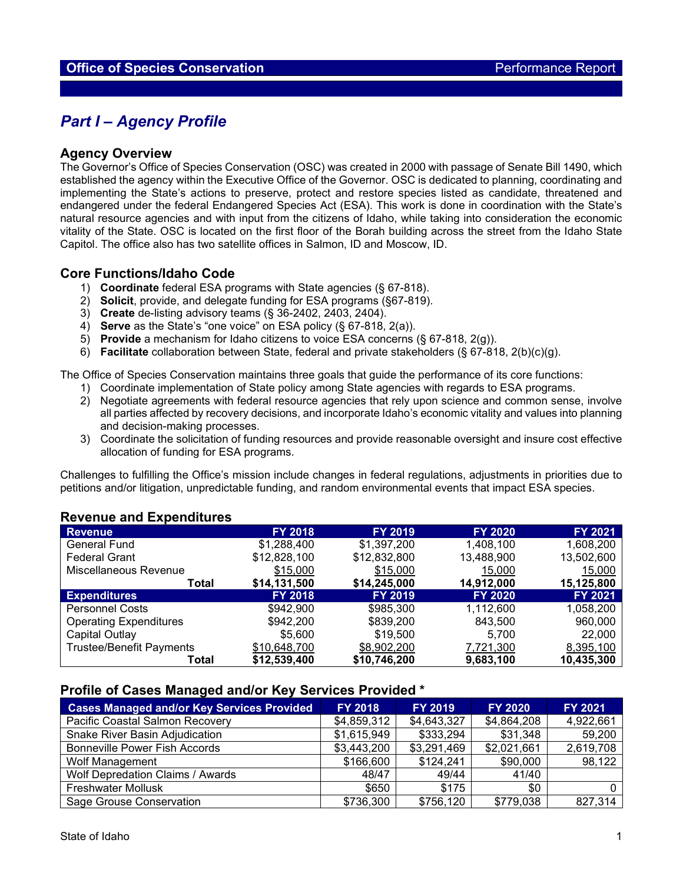# *Part I – Agency Profile*

#### **Agency Overview**

The Governor's Office of Species Conservation (OSC) was created in 2000 with passage of Senate Bill 1490, which established the agency within the Executive Office of the Governor. OSC is dedicated to planning, coordinating and implementing the State's actions to preserve, protect and restore species listed as candidate, threatened and endangered under the federal Endangered Species Act (ESA). This work is done in coordination with the State's natural resource agencies and with input from the citizens of Idaho, while taking into consideration the economic vitality of the State. OSC is located on the first floor of the Borah building across the street from the Idaho State Capitol. The office also has two satellite offices in Salmon, ID and Moscow, ID.

### **Core Functions/Idaho Code**

- 1) **Coordinate** federal ESA programs with State agencies (§ 67-818).
- 2) **Solicit**, provide, and delegate funding for ESA programs (§67-819).
- 3) **Create** de-listing advisory teams (§ 36-2402, 2403, 2404).
- 4) **Serve** as the State's "one voice" on ESA policy (§ 67-818, 2(a)).
- 5) **Provide** a mechanism for Idaho citizens to voice ESA concerns (§ 67-818, 2(g)).
- 6) **Facilitate** collaboration between State, federal and private stakeholders (§ 67-818, 2(b)(c)(g).

The Office of Species Conservation maintains three goals that guide the performance of its core functions:

- 1) Coordinate implementation of State policy among State agencies with regards to ESA programs.
- 2) Negotiate agreements with federal resource agencies that rely upon science and common sense, involve all parties affected by recovery decisions, and incorporate Idaho's economic vitality and values into planning and decision-making processes.
- 3) Coordinate the solicitation of funding resources and provide reasonable oversight and insure cost effective allocation of funding for ESA programs.

Challenges to fulfilling the Office's mission include changes in federal regulations, adjustments in priorities due to petitions and/or litigation, unpredictable funding, and random environmental events that impact ESA species.

#### **Revenue and Expenditures**

| <b>Revenue</b>                  | <b>FY 2018</b> | FY 2019      | <b>FY 2020</b> | <b>FY 2021</b> |
|---------------------------------|----------------|--------------|----------------|----------------|
| General Fund                    | \$1,288,400    | \$1,397,200  | 1,408,100      | 1,608,200      |
| <b>Federal Grant</b>            | \$12,828,100   | \$12,832,800 | 13,488,900     | 13,502,600     |
| Miscellaneous Revenue           | \$15,000       | \$15,000     | 15,000         | 15,000         |
| Total                           | \$14,131,500   | \$14,245,000 | 14,912,000     | 15,125,800     |
| <b>Expenditures</b>             | <b>FY 2018</b> | FY 2019      | <b>FY 2020</b> | <b>FY 2021</b> |
| <b>Personnel Costs</b>          | \$942,900      | \$985,300    | 1,112,600      | 1,058,200      |
| <b>Operating Expenditures</b>   | \$942,200      | \$839,200    | 843.500        | 960,000        |
| Capital Outlay                  | \$5,600        | \$19,500     | 5,700          | 22,000         |
| <b>Trustee/Benefit Payments</b> | \$10,648,700   | \$8,902,200  | 7,721,300      | 8,395,100      |
| Total                           | \$12,539,400   | \$10,746,200 | 9,683,100      | 10,435,300     |

### **Profile of Cases Managed and/or Key Services Provided \***

| <b>Cases Managed and/or Key Services Provided</b> | <b>FY 2018</b> | <b>FY 2019</b> | <b>FY 2020</b> | <b>FY 2021</b> |
|---------------------------------------------------|----------------|----------------|----------------|----------------|
| Pacific Coastal Salmon Recovery                   | \$4,859,312    | \$4,643,327    | \$4,864,208    | 4,922,661      |
| Snake River Basin Adjudication                    | \$1,615,949    | \$333,294      | \$31,348       | 59,200         |
| Bonneville Power Fish Accords                     | \$3,443,200    | \$3,291,469    | \$2,021,661    | 2,619,708      |
| Wolf Management                                   | \$166,600      | \$124,241      | \$90,000       | 98,122         |
| Wolf Depredation Claims / Awards                  | 48/47          | 49/44          | 41/40          |                |
| <b>Freshwater Mollusk</b>                         | \$650          | \$175          | \$0            |                |
| Sage Grouse Conservation                          | \$736,300      | \$756,120      | \$779,038      | 827,314        |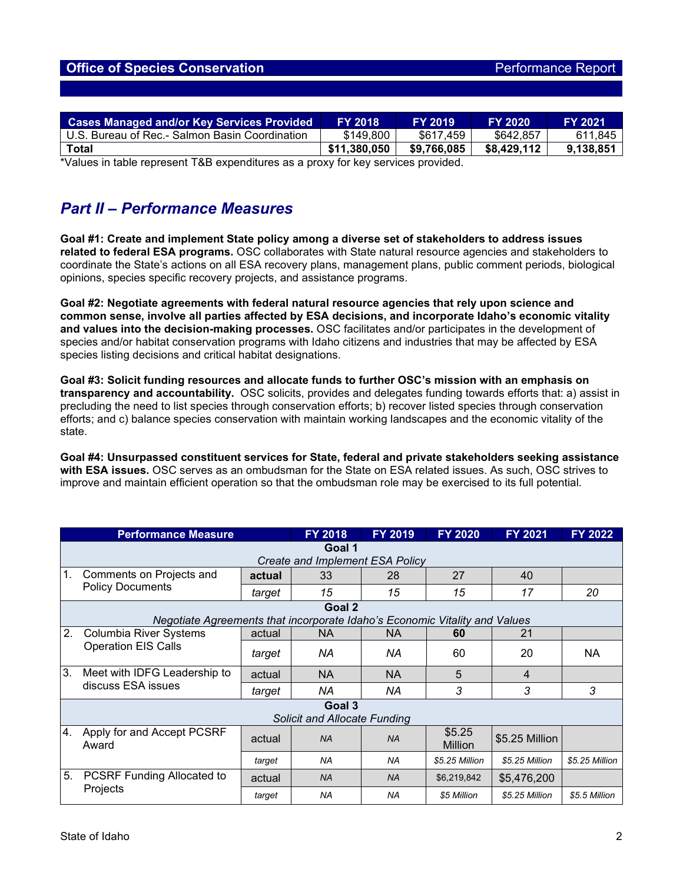| <b>Cases Managed and/or Key Services Provided</b> | <b>FY 2018</b> | <b>FY 2019</b> | <b>FY 2020</b> | <b>FY 2021</b> |
|---------------------------------------------------|----------------|----------------|----------------|----------------|
| U.S. Bureau of Rec.- Salmon Basin Coordination    | \$149.800      | \$617.459      | \$642,857      | 611.845        |
| <b>Total</b>                                      | \$11,380,050   | \$9,766,085    | \$8.429.112    | 9,138,851      |

\*Values in table represent T&B expenditures as a proxy for key services provided.

## *Part II – Performance Measures*

**Goal #1: Create and implement State policy among a diverse set of stakeholders to address issues related to federal ESA programs.** OSC collaborates with State natural resource agencies and stakeholders to coordinate the State's actions on all ESA recovery plans, management plans, public comment periods, biological opinions, species specific recovery projects, and assistance programs.

**Goal #2: Negotiate agreements with federal natural resource agencies that rely upon science and common sense, involve all parties affected by ESA decisions, and incorporate Idaho's economic vitality and values into the decision-making processes.** OSC facilitates and/or participates in the development of species and/or habitat conservation programs with Idaho citizens and industries that may be affected by ESA species listing decisions and critical habitat designations.

**Goal #3: Solicit funding resources and allocate funds to further OSC's mission with an emphasis on transparency and accountability.** OSC solicits, provides and delegates funding towards efforts that: a) assist in precluding the need to list species through conservation efforts; b) recover listed species through conservation efforts; and c) balance species conservation with maintain working landscapes and the economic vitality of the state.

**Goal #4: Unsurpassed constituent services for State, federal and private stakeholders seeking assistance with ESA issues.** OSC serves as an ombudsman for the State on ESA related issues. As such, OSC strives to improve and maintain efficient operation so that the ombudsman role may be exercised to its full potential.

| <b>Performance Measure</b> |                                                                            |        | <b>FY 2018</b>                  | FY 2019   | <b>FY 2020</b>    | <b>FY 2021</b> | <b>FY 2022</b> |  |  |
|----------------------------|----------------------------------------------------------------------------|--------|---------------------------------|-----------|-------------------|----------------|----------------|--|--|
|                            | Goal 1                                                                     |        |                                 |           |                   |                |                |  |  |
|                            |                                                                            |        | Create and Implement ESA Policy |           |                   |                |                |  |  |
| $\mathbf{1}$ .             | Comments on Projects and                                                   | actual | 33                              | 28        | 27                | 40             |                |  |  |
|                            | <b>Policy Documents</b>                                                    | target | 15                              | 15        | 15                | 17             | 20             |  |  |
|                            | Goal 2                                                                     |        |                                 |           |                   |                |                |  |  |
|                            | Negotiate Agreements that incorporate Idaho's Economic Vitality and Values |        |                                 |           |                   |                |                |  |  |
| 2.                         | <b>Columbia River Systems</b>                                              | actual | NA.                             | NA        | 60                | 21             |                |  |  |
|                            | <b>Operation EIS Calls</b>                                                 | target | NA                              | ΝA        | 60                | 20             | <b>NA</b>      |  |  |
| 3.                         | Meet with IDFG Leadership to<br>discuss ESA issues                         | actual | <b>NA</b>                       | NA        | 5                 | $\overline{4}$ |                |  |  |
|                            |                                                                            | target | ΝA                              | ΝA        | 3                 | 3              | 3              |  |  |
|                            | Goal 3                                                                     |        |                                 |           |                   |                |                |  |  |
|                            | Solicit and Allocate Funding                                               |        |                                 |           |                   |                |                |  |  |
| 4.                         | Apply for and Accept PCSRF<br>Award                                        | actual | <b>NA</b>                       | <b>NA</b> | \$5.25<br>Million | \$5.25 Million |                |  |  |
|                            |                                                                            | target | <b>NA</b>                       | NA        | \$5.25 Million    | \$5.25 Million | \$5.25 Million |  |  |
| 5.                         | PCSRF Funding Allocated to<br>Projects                                     | actual | <b>NA</b>                       | <b>NA</b> | \$6,219,842       | \$5,476,200    |                |  |  |
|                            |                                                                            | target | <b>NA</b>                       | NA        | \$5 Million       | \$5.25 Million | \$5.5 Million  |  |  |